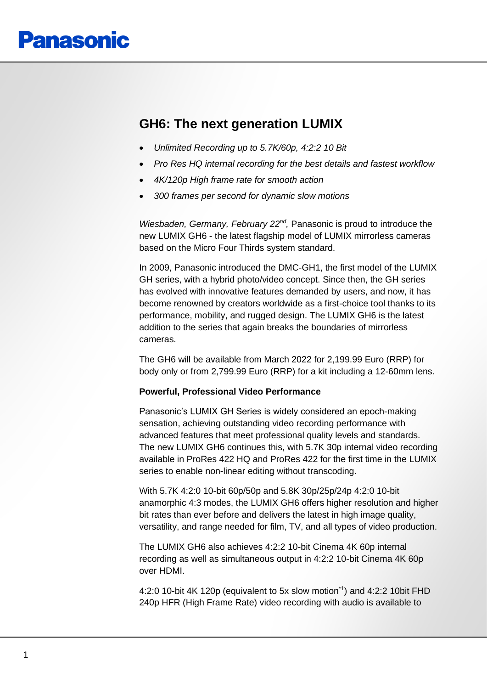# **GH6: The next generation LUMIX**

- *Unlimited Recording up to 5.7K/60p, 4:2:2 10 Bit*
- *Pro Res HQ internal recording for the best details and fastest workflow*
- *4K/120p High frame rate for smooth action*
- *300 frames per second for dynamic slow motions*

*Wiesbaden, Germany, February 22<sup>nd</sup>, Panasonic is proud to introduce the* new LUMIX GH6 - the latest flagship model of LUMIX mirrorless cameras based on the Micro Four Thirds system standard.

In 2009, Panasonic introduced the DMC-GH1, the first model of the LUMIX GH series, with a hybrid photo/video concept. Since then, the GH series has evolved with innovative features demanded by users, and now, it has become renowned by creators worldwide as a first-choice tool thanks to its performance, mobility, and rugged design. The LUMIX GH6 is the latest addition to the series that again breaks the boundaries of mirrorless cameras.

The GH6 will be available from March 2022 for 2,199.99 Euro (RRP) for body only or from 2,799.99 Euro (RRP) for a kit including a 12-60mm lens.

#### **Powerful, Professional Video Performance**

Panasonic's LUMIX GH Series is widely considered an epoch-making sensation, achieving outstanding video recording performance with advanced features that meet professional quality levels and standards. The new LUMIX GH6 continues this, with 5.7K 30p internal video recording available in ProRes 422 HQ and ProRes 422 for the first time in the LUMIX series to enable non-linear editing without transcoding.

With 5.7K 4:2:0 10-bit 60p/50p and 5.8K 30p/25p/24p 4:2:0 10-bit anamorphic 4:3 modes, the LUMIX GH6 offers higher resolution and higher bit rates than ever before and delivers the latest in high image quality, versatility, and range needed for film, TV, and all types of video production.

The LUMIX GH6 also achieves 4:2:2 10-bit Cinema 4K 60p internal recording as well as simultaneous output in 4:2:2 10-bit Cinema 4K 60p over HDMI.

4:2:0 10-bit 4K 120p (equivalent to 5x slow motion\*1) and 4:2:2 10bit FHD 240p HFR (High Frame Rate) video recording with audio is available to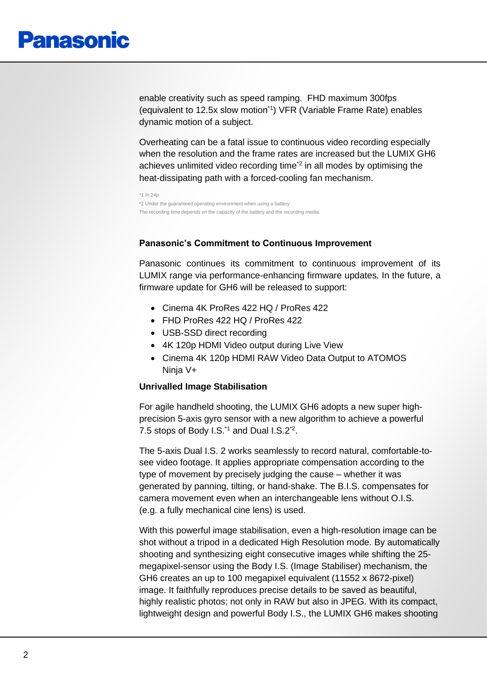enable creativity such as speed ramping. FHD maximum 300fps (equivalent to 12.5x slow motion\*1) VFR (Variable Frame Rate) enables dynamic motion of a subject.

Overheating can be a fatal issue to continuous video recording especially when the resolution and the frame rates are increased but the LUMIX GH6 achieves unlimited video recording time<sup>2</sup> in all modes by optimising the heat-dissipating path with a forced-cooling fan mechanism.

```
*1 In 24r
*2 Under the guaranteed operating environment when using a battery. 
The recording time depends on the capacity of the battery and the recording media.
```
# **Panasonic's Commitment to Continuous Improvement**

Panasonic continues its commitment to continuous improvement of its LUMIX range via performance-enhancing firmware updates. In the future, a firmware update for GH6 will be released to support:

- Cinema 4K ProRes 422 HQ / ProRes 422
- FHD ProRes 422 HQ / ProRes 422
- USB-SSD direct recording
- 4K 120p HDMI Video output during Live View
- Cinema 4K 120p HDMI RAW Video Data Output to ATOMOS Ninja V+

#### **Unrivalled Image Stabilisation**

For agile handheld shooting, the LUMIX GH6 adopts a new super highprecision 5-axis gyro sensor with a new algorithm to achieve a powerful 7.5 stops of Body I.S.<sup>\*1</sup> and Dual I.S.2<sup>\*2</sup>.

The 5-axis Dual I.S. 2 works seamlessly to record natural, comfortable-tosee video footage. It applies appropriate compensation according to the type of movement by precisely judging the cause – whether it was generated by panning, tilting, or hand-shake. The B.I.S. compensates for camera movement even when an interchangeable lens without O.I.S. (e.g. a fully mechanical cine lens) is used.

With this powerful image stabilisation, even a high-resolution image can be shot without a tripod in a dedicated High Resolution mode. By automatically shooting and synthesizing eight consecutive images while shifting the 25 megapixel-sensor using the Body I.S. (Image Stabiliser) mechanism, the GH6 creates an up to 100 megapixel equivalent (11552 x 8672-pixel) image. It faithfully reproduces precise details to be saved as beautiful, highly realistic photos; not only in RAW but also in JPEG. With its compact, lightweight design and powerful Body I.S., the LUMIX GH6 makes shooting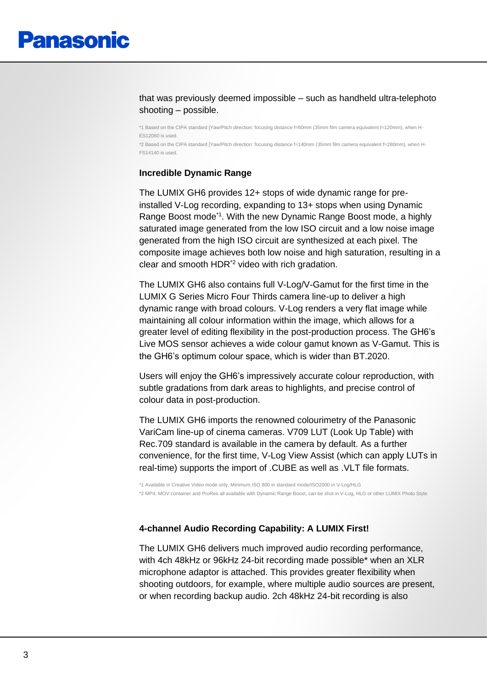# that was previously deemed impossible – such as handheld ultra-telephoto shooting – possible.

\*1 Based on the CIPA standard [Yaw/Pitch direction: focusing distance f=60mm (35mm film camera equivalent f=120mm), when H-ES12060 is used. \*2 Based on the CIPA standard [Yaw/Pitch direction: focusing distance f=140mm (35mm film camera equivalent f=280mm), when H-FS14140 is used.

# **Incredible Dynamic Range**

The LUMIX GH6 provides 12+ stops of wide dynamic range for preinstalled V-Log recording, expanding to 13+ stops when using Dynamic Range Boost mode<sup>\*1</sup>. With the new Dynamic Range Boost mode, a highly saturated image generated from the low ISO circuit and a low noise image generated from the high ISO circuit are synthesized at each pixel. The composite image achieves both low noise and high saturation, resulting in a clear and smooth HDR\*2 video with rich gradation.

The LUMIX GH6 also contains full V-Log/V-Gamut for the first time in the LUMIX G Series Micro Four Thirds camera line-up to deliver a high dynamic range with broad colours. V-Log renders a very flat image while maintaining all colour information within the image, which allows for a greater level of editing flexibility in the post-production process. The GH6's Live MOS sensor achieves a wide colour gamut known as V-Gamut. This is the GH6's optimum colour space, which is wider than BT.2020.

Users will enjoy the GH6's impressively accurate colour reproduction, with subtle gradations from dark areas to highlights, and precise control of colour data in post-production.

The LUMIX GH6 imports the renowned colourimetry of the Panasonic VariCam line-up of cinema cameras. V709 LUT (Look Up Table) with Rec.709 standard is available in the camera by default. As a further convenience, for the first time, V-Log View Assist (which can apply LUTs in real-time) supports the import of .CUBE as well as .VLT file formats.

\*1 Available in Creative Video mode only, Minimum ISO 800 in standard mode/ISO2000 in V-Log/HLG \*2 MP4, MOV-container and ProRes all available with Dynamic Range Boost, can be shot in V-Log, HLG or other LUMIX Photo Style

# **4-channel Audio Recording Capability: A LUMIX First!**

The LUMIX GH6 delivers much improved audio recording performance, with 4ch 48kHz or 96kHz 24-bit recording made possible\* when an XLR microphone adaptor is attached. This provides greater flexibility when shooting outdoors, for example, where multiple audio sources are present, or when recording backup audio. 2ch 48kHz 24-bit recording is also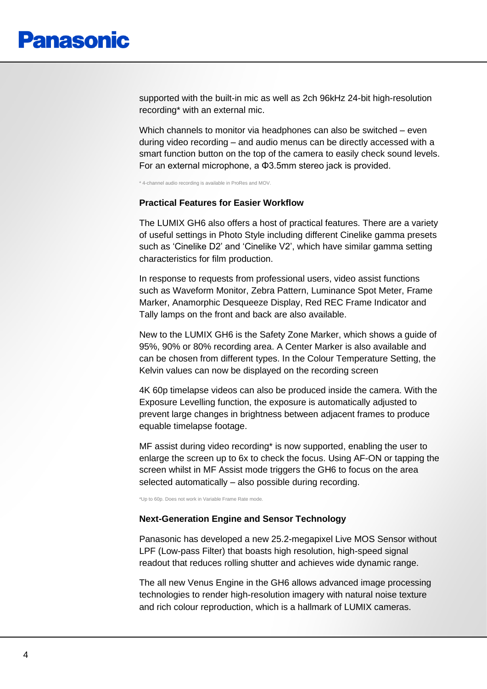supported with the built-in mic as well as 2ch 96kHz 24-bit high-resolution recording\* with an external mic.

Which channels to monitor via headphones can also be switched – even during video recording – and audio menus can be directly accessed with a smart function button on the top of the camera to easily check sound levels. For an external microphone, a Φ3.5mm stereo jack is provided.

\* 4-channel audio recording is available in ProRes and MOV.

#### **Practical Features for Easier Workflow**

The LUMIX GH6 also offers a host of practical features. There are a variety of useful settings in Photo Style including different Cinelike gamma presets such as 'Cinelike D2' and 'Cinelike V2', which have similar gamma setting characteristics for film production.

In response to requests from professional users, video assist functions such as Waveform Monitor, Zebra Pattern, Luminance Spot Meter, Frame Marker, Anamorphic Desqueeze Display, Red REC Frame Indicator and Tally lamps on the front and back are also available.

New to the LUMIX GH6 is the Safety Zone Marker, which shows a guide of 95%, 90% or 80% recording area. A Center Marker is also available and can be chosen from different types. In the Colour Temperature Setting, the Kelvin values can now be displayed on the recording screen

4K 60p timelapse videos can also be produced inside the camera. With the Exposure Levelling function, the exposure is automatically adjusted to prevent large changes in brightness between adjacent frames to produce equable timelapse footage.

MF assist during video recording\* is now supported, enabling the user to enlarge the screen up to 6x to check the focus. Using AF-ON or tapping the screen whilst in MF Assist mode triggers the GH6 to focus on the area selected automatically – also possible during recording.

\*Up to 60p. Does not work in Variable Frame Rate mode.

#### **Next-Generation Engine and Sensor Technology**

Panasonic has developed a new 25.2-megapixel Live MOS Sensor without LPF (Low-pass Filter) that boasts high resolution, high-speed signal readout that reduces rolling shutter and achieves wide dynamic range.

The all new Venus Engine in the GH6 allows advanced image processing technologies to render high-resolution imagery with natural noise texture and rich colour reproduction, which is a hallmark of LUMIX cameras.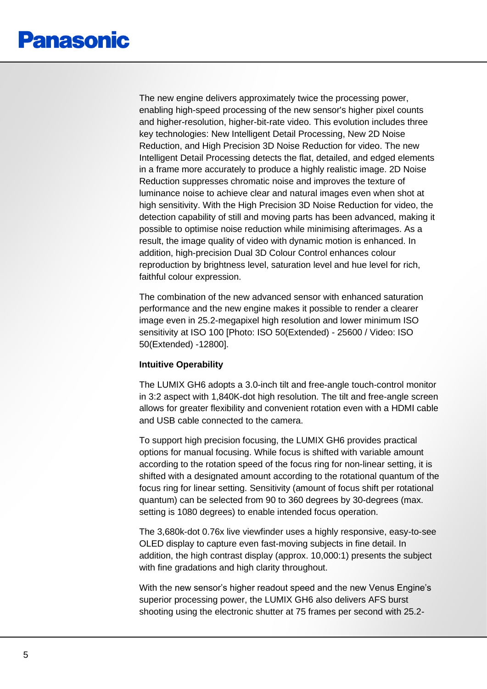The new engine delivers approximately twice the processing power, enabling high-speed processing of the new sensor's higher pixel counts and higher-resolution, higher-bit-rate video. This evolution includes three key technologies: New Intelligent Detail Processing, New 2D Noise Reduction, and High Precision 3D Noise Reduction for video. The new Intelligent Detail Processing detects the flat, detailed, and edged elements in a frame more accurately to produce a highly realistic image. 2D Noise Reduction suppresses chromatic noise and improves the texture of luminance noise to achieve clear and natural images even when shot at high sensitivity. With the High Precision 3D Noise Reduction for video, the detection capability of still and moving parts has been advanced, making it possible to optimise noise reduction while minimising afterimages. As a result, the image quality of video with dynamic motion is enhanced. In addition, high-precision Dual 3D Colour Control enhances colour reproduction by brightness level, saturation level and hue level for rich, faithful colour expression.

The combination of the new advanced sensor with enhanced saturation performance and the new engine makes it possible to render a clearer image even in 25.2-megapixel high resolution and lower minimum ISO sensitivity at ISO 100 [Photo: ISO 50(Extended) - 25600 / Video: ISO 50(Extended) -12800].

# **Intuitive Operability**

The LUMIX GH6 adopts a 3.0-inch tilt and free-angle touch-control monitor in 3:2 aspect with 1,840K-dot high resolution. The tilt and free-angle screen allows for greater flexibility and convenient rotation even with a HDMI cable and USB cable connected to the camera.

To support high precision focusing, the LUMIX GH6 provides practical options for manual focusing. While focus is shifted with variable amount according to the rotation speed of the focus ring for non-linear setting, it is shifted with a designated amount according to the rotational quantum of the focus ring for linear setting. Sensitivity (amount of focus shift per rotational quantum) can be selected from 90 to 360 degrees by 30-degrees (max. setting is 1080 degrees) to enable intended focus operation.

The 3,680k-dot 0.76x live viewfinder uses a highly responsive, easy-to-see OLED display to capture even fast-moving subjects in fine detail. In addition, the high contrast display (approx. 10,000:1) presents the subject with fine gradations and high clarity throughout.

With the new sensor's higher readout speed and the new Venus Engine's superior processing power, the LUMIX GH6 also delivers AFS burst shooting using the electronic shutter at 75 frames per second with 25.2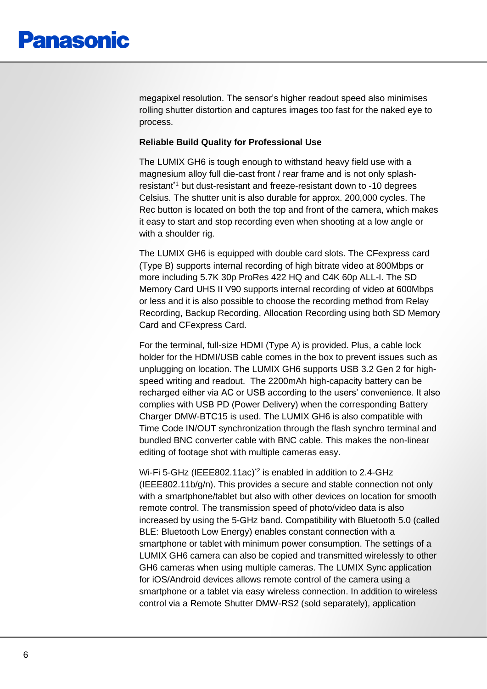megapixel resolution. The sensor's higher readout speed also minimises rolling shutter distortion and captures images too fast for the naked eye to process.

# **Reliable Build Quality for Professional Use**

The LUMIX GH6 is tough enough to withstand heavy field use with a magnesium alloy full die-cast front / rear frame and is not only splashresistant<sup>\*1</sup> but dust-resistant and freeze-resistant down to -10 degrees Celsius. The shutter unit is also durable for approx. 200,000 cycles. The Rec button is located on both the top and front of the camera, which makes it easy to start and stop recording even when shooting at a low angle or with a shoulder rig.

The LUMIX GH6 is equipped with double card slots. The CFexpress card (Type B) supports internal recording of high bitrate video at 800Mbps or more including 5.7K 30p ProRes 422 HQ and C4K 60p ALL-I. The SD Memory Card UHS II V90 supports internal recording of video at 600Mbps or less and it is also possible to choose the recording method from Relay Recording, Backup Recording, Allocation Recording using both SD Memory Card and CFexpress Card.

For the terminal, full-size HDMI (Type A) is provided. Plus, a cable lock holder for the HDMI/USB cable comes in the box to prevent issues such as unplugging on location. The LUMIX GH6 supports USB 3.2 Gen 2 for highspeed writing and readout. The 2200mAh high-capacity battery can be recharged either via AC or USB according to the users' convenience. It also complies with USB PD (Power Delivery) when the corresponding Battery Charger DMW-BTC15 is used. The LUMIX GH6 is also compatible with Time Code IN/OUT synchronization through the flash synchro terminal and bundled BNC converter cable with BNC cable. This makes the non-linear editing of footage shot with multiple cameras easy.

Wi-Fi 5-GHz (IEEE802.11ac)<sup>\*2</sup> is enabled in addition to 2.4-GHz (IEEE802.11b/g/n). This provides a secure and stable connection not only with a smartphone/tablet but also with other devices on location for smooth remote control. The transmission speed of photo/video data is also increased by using the 5-GHz band. Compatibility with Bluetooth 5.0 (called BLE: Bluetooth Low Energy) enables constant connection with a smartphone or tablet with minimum power consumption. The settings of a LUMIX GH6 camera can also be copied and transmitted wirelessly to other GH6 cameras when using multiple cameras. The LUMIX Sync application for iOS/Android devices allows remote control of the camera using a smartphone or a tablet via easy wireless connection. In addition to wireless control via a Remote Shutter DMW-RS2 (sold separately), application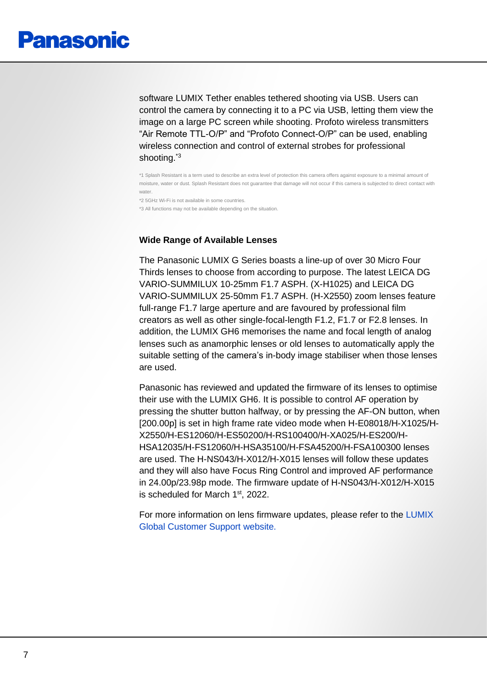software LUMIX Tether enables tethered shooting via USB. Users can control the camera by connecting it to a PC via USB, letting them view the image on a large PC screen while shooting. Profoto wireless transmitters "Air Remote TTL-O/P" and "Profoto Connect-O/P" can be used, enabling wireless connection and control of external strobes for professional shooting.<sup>\*3</sup>

\*1 Splash Resistant is a term used to describe an extra level of protection this camera offers against exposure to a minimal amount of moisture, water or dust. Splash Resistant does not guarantee that damage will not occur if this camera is subjected to direct contact with water.

\*2 5GHz Wi-Fi is not available in some countries.

\*3 All functions may not be available depending on the situation.

#### **Wide Range of Available Lenses**

The Panasonic LUMIX G Series boasts a line-up of over 30 Micro Four Thirds lenses to choose from according to purpose. The latest LEICA DG VARIO-SUMMILUX 10-25mm F1.7 ASPH. (X-H1025) and LEICA DG VARIO-SUMMILUX 25-50mm F1.7 ASPH. (H-X2550) zoom lenses feature full-range F1.7 large aperture and are favoured by professional film creators as well as other single-focal-length F1.2, F1.7 or F2.8 lenses. In addition, the LUMIX GH6 memorises the name and focal length of analog lenses such as anamorphic lenses or old lenses to automatically apply the suitable setting of the camera's in-body image stabiliser when those lenses are used.

Panasonic has reviewed and updated the firmware of its lenses to optimise their use with the LUMIX GH6. It is possible to control AF operation by pressing the shutter button halfway, or by pressing the AF-ON button, when [200.00p] is set in high frame rate video mode when H-E08018/H-X1025/H-X2550/H-ES12060/H-ES50200/H-RS100400/H-XA025/H-ES200/H-HSA12035/H-FS12060/H-HSA35100/H-FSA45200/H-FSA100300 lenses are used. The H-NS043/H-X012/H-X015 lenses will follow these updates and they will also have Focus Ring Control and improved AF performance in 24.00p/23.98p mode. The firmware update of H-NS043/H-X012/H-X015 is scheduled for March 1<sup>st</sup>, 2022.

For more information on lens firmware updates, please refer to the [LUMIX](https://av.jpn.support.panasonic.com/support/global/cs/dsc/download/index.html)  [Global Customer Support website.](https://av.jpn.support.panasonic.com/support/global/cs/dsc/download/index.html)